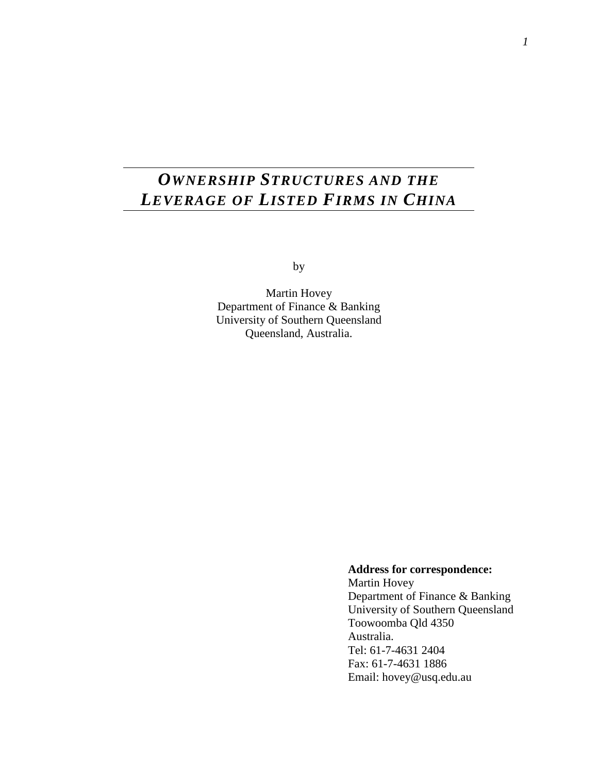# *OWNERSHIP STRUCTURES AND THE LEVERAGE OF LISTED FIRMS IN CHINA*

by

Martin Hovey Department of Finance & Banking University of Southern Queensland Queensland, Australia.

> **Address for correspondence:**  Martin Hovey Department of Finance & Banking University of Southern Queensland Toowoomba Qld 4350 Australia. Tel: 61-7-4631 2404 Fax: 61-7-4631 1886 Email: hovey@usq.edu.au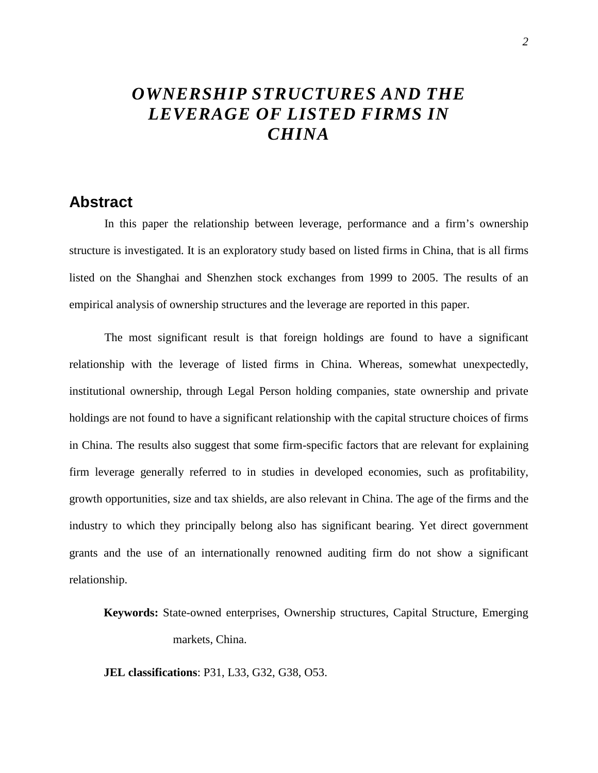# *OWNERSHIP STRUCTURES AND THE LEVERAGE OF LISTED FIRMS IN CHINA*

## **Abstract**

In this paper the relationship between leverage, performance and a firm's ownership structure is investigated. It is an exploratory study based on listed firms in China, that is all firms listed on the Shanghai and Shenzhen stock exchanges from 1999 to 2005. The results of an empirical analysis of ownership structures and the leverage are reported in this paper.

The most significant result is that foreign holdings are found to have a significant relationship with the leverage of listed firms in China. Whereas, somewhat unexpectedly, institutional ownership, through Legal Person holding companies, state ownership and private holdings are not found to have a significant relationship with the capital structure choices of firms in China. The results also suggest that some firm-specific factors that are relevant for explaining firm leverage generally referred to in studies in developed economies, such as profitability, growth opportunities, size and tax shields, are also relevant in China. The age of the firms and the industry to which they principally belong also has significant bearing. Yet direct government grants and the use of an internationally renowned auditing firm do not show a significant relationship.

**Keywords:** State-owned enterprises, Ownership structures, Capital Structure, Emerging markets, China.

**JEL classifications**: P31, L33, G32, G38, O53.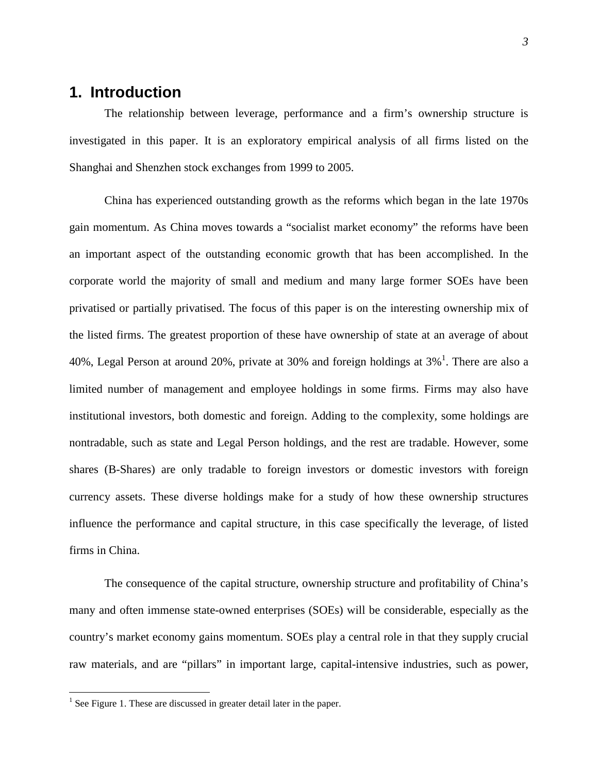# **1. Introduction**

The relationship between leverage, performance and a firm's ownership structure is investigated in this paper. It is an exploratory empirical analysis of all firms listed on the Shanghai and Shenzhen stock exchanges from 1999 to 2005.

China has experienced outstanding growth as the reforms which began in the late 1970s gain momentum. As China moves towards a "socialist market economy" the reforms have been an important aspect of the outstanding economic growth that has been accomplished. In the corporate world the majority of small and medium and many large former SOEs have been privatised or partially privatised. The focus of this paper is on the interesting ownership mix of the listed firms. The greatest proportion of these have ownership of state at an average of about 40%, Legal Person at around 20%, private at 30% and foreign holdings at  $3\%$ <sup>1</sup>. There are also a limited number of management and employee holdings in some firms. Firms may also have institutional investors, both domestic and foreign. Adding to the complexity, some holdings are nontradable, such as state and Legal Person holdings, and the rest are tradable. However, some shares (B-Shares) are only tradable to foreign investors or domestic investors with foreign currency assets. These diverse holdings make for a study of how these ownership structures influence the performance and capital structure, in this case specifically the leverage, of listed firms in China.

The consequence of the capital structure, ownership structure and profitability of China's many and often immense state-owned enterprises (SOEs) will be considerable, especially as the country's market economy gains momentum. SOEs play a central role in that they supply crucial raw materials, and are "pillars" in important large, capital-intensive industries, such as power,

 $\overline{a}$ 

<sup>&</sup>lt;sup>1</sup> See Figure 1. These are discussed in greater detail later in the paper.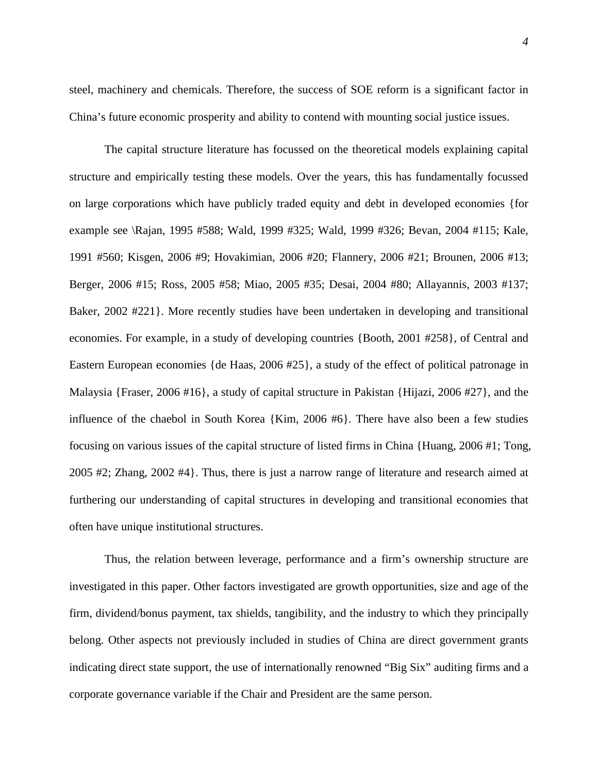*4*

steel, machinery and chemicals. Therefore, the success of SOE reform is a significant factor in China's future economic prosperity and ability to contend with mounting social justice issues.

The capital structure literature has focussed on the theoretical models explaining capital structure and empirically testing these models. Over the years, this has fundamentally focussed on large corporations which have publicly traded equity and debt in developed economies {for example see \Rajan, 1995 #588; Wald, 1999 #325; Wald, 1999 #326; Bevan, 2004 #115; Kale, 1991 #560; Kisgen, 2006 #9; Hovakimian, 2006 #20; Flannery, 2006 #21; Brounen, 2006 #13; Berger, 2006 #15; Ross, 2005 #58; Miao, 2005 #35; Desai, 2004 #80; Allayannis, 2003 #137; Baker, 2002 #221}. More recently studies have been undertaken in developing and transitional economies. For example, in a study of developing countries {Booth, 2001 #258}, of Central and Eastern European economies {de Haas, 2006 #25}, a study of the effect of political patronage in Malaysia {Fraser, 2006 #16}, a study of capital structure in Pakistan {Hijazi, 2006 #27}, and the influence of the chaebol in South Korea {Kim, 2006 #6}. There have also been a few studies focusing on various issues of the capital structure of listed firms in China {Huang, 2006 #1; Tong, 2005 #2; Zhang, 2002 #4}. Thus, there is just a narrow range of literature and research aimed at furthering our understanding of capital structures in developing and transitional economies that often have unique institutional structures.

Thus, the relation between leverage, performance and a firm's ownership structure are investigated in this paper. Other factors investigated are growth opportunities, size and age of the firm, dividend/bonus payment, tax shields, tangibility, and the industry to which they principally belong. Other aspects not previously included in studies of China are direct government grants indicating direct state support, the use of internationally renowned "Big Six" auditing firms and a corporate governance variable if the Chair and President are the same person.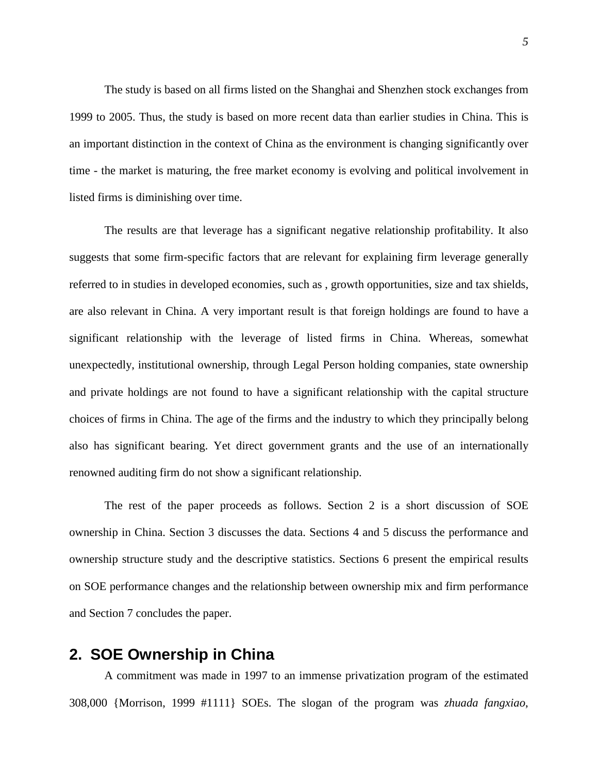The study is based on all firms listed on the Shanghai and Shenzhen stock exchanges from 1999 to 2005. Thus, the study is based on more recent data than earlier studies in China. This is an important distinction in the context of China as the environment is changing significantly over time - the market is maturing, the free market economy is evolving and political involvement in listed firms is diminishing over time.

The results are that leverage has a significant negative relationship profitability. It also suggests that some firm-specific factors that are relevant for explaining firm leverage generally referred to in studies in developed economies, such as , growth opportunities, size and tax shields, are also relevant in China. A very important result is that foreign holdings are found to have a significant relationship with the leverage of listed firms in China. Whereas, somewhat unexpectedly, institutional ownership, through Legal Person holding companies, state ownership and private holdings are not found to have a significant relationship with the capital structure choices of firms in China. The age of the firms and the industry to which they principally belong also has significant bearing. Yet direct government grants and the use of an internationally renowned auditing firm do not show a significant relationship.

The rest of the paper proceeds as follows. Section 2 is a short discussion of SOE ownership in China. Section 3 discusses the data. Sections 4 and 5 discuss the performance and ownership structure study and the descriptive statistics. Sections 6 present the empirical results on SOE performance changes and the relationship between ownership mix and firm performance and Section 7 concludes the paper.

# **2. SOE Ownership in China**

A commitment was made in 1997 to an immense privatization program of the estimated 308,000 {Morrison, 1999 #1111} SOEs. The slogan of the program was *zhuada fangxiao*,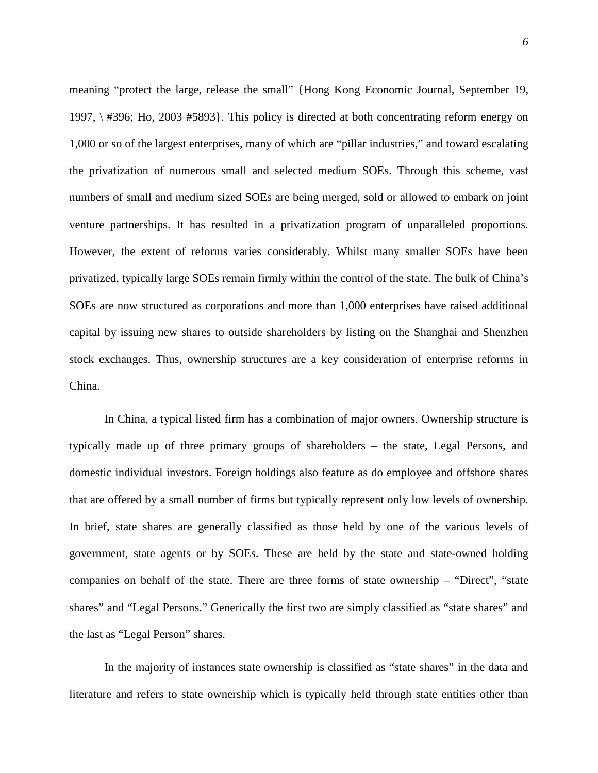meaning "protect the large, release the small" {Hong Kong Economic Journal, September 19, 1997, \ #396; Ho, 2003 #5893}. This policy is directed at both concentrating reform energy on 1,000 or so of the largest enterprises, many of which are "pillar industries," and toward escalating the privatization of numerous small and selected medium SOEs. Through this scheme, vast numbers of small and medium sized SOEs are being merged, sold or allowed to embark on joint venture partnerships. It has resulted in a privatization program of unparalleled proportions. However, the extent of reforms varies considerably. Whilst many smaller SOEs have been privatized, typically large SOEs remain firmly within the control of the state. The bulk of China's SOEs are now structured as corporations and more than 1,000 enterprises have raised additional capital by issuing new shares to outside shareholders by listing on the Shanghai and Shenzhen stock exchanges. Thus, ownership structures are a key consideration of enterprise reforms in China.

In China, a typical listed firm has a combination of major owners. Ownership structure is typically made up of three primary groups of shareholders – the state, Legal Persons, and domestic individual investors. Foreign holdings also feature as do employee and offshore shares that are offered by a small number of firms but typically represent only low levels of ownership. In brief, state shares are generally classified as those held by one of the various levels of government, state agents or by SOEs. These are held by the state and state-owned holding companies on behalf of the state. There are three forms of state ownership – "Direct", "state shares" and "Legal Persons." Generically the first two are simply classified as "state shares" and the last as "Legal Person" shares.

In the majority of instances state ownership is classified as "state shares" in the data and literature and refers to state ownership which is typically held through state entities other than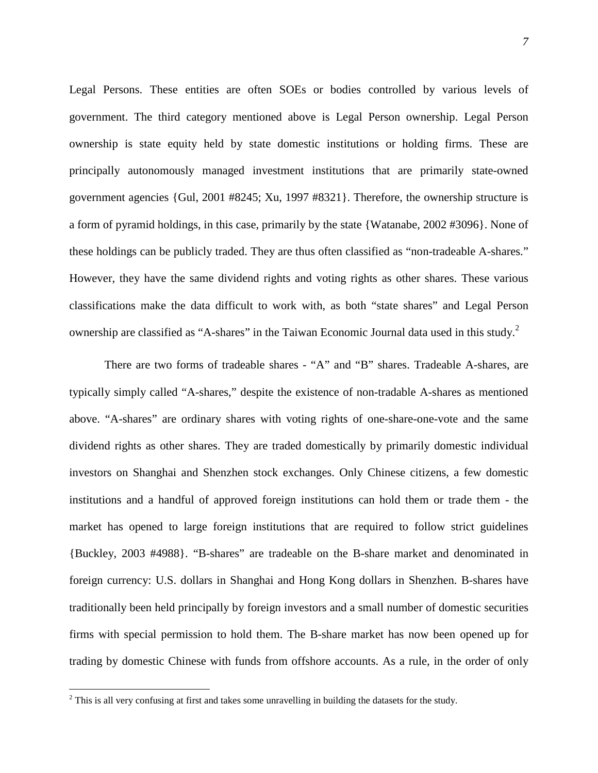Legal Persons. These entities are often SOEs or bodies controlled by various levels of government. The third category mentioned above is Legal Person ownership. Legal Person ownership is state equity held by state domestic institutions or holding firms. These are principally autonomously managed investment institutions that are primarily state-owned government agencies {Gul, 2001 #8245; Xu, 1997 #8321}. Therefore, the ownership structure is a form of pyramid holdings, in this case, primarily by the state {Watanabe, 2002 #3096}. None of these holdings can be publicly traded. They are thus often classified as "non-tradeable A-shares." However, they have the same dividend rights and voting rights as other shares. These various classifications make the data difficult to work with, as both "state shares" and Legal Person ownership are classified as "A-shares" in the Taiwan Economic Journal data used in this study.<sup>2</sup>

There are two forms of tradeable shares - "A" and "B" shares. Tradeable A-shares, are typically simply called "A-shares," despite the existence of non-tradable A-shares as mentioned above. "A-shares" are ordinary shares with voting rights of one-share-one-vote and the same dividend rights as other shares. They are traded domestically by primarily domestic individual investors on Shanghai and Shenzhen stock exchanges. Only Chinese citizens, a few domestic institutions and a handful of approved foreign institutions can hold them or trade them - the market has opened to large foreign institutions that are required to follow strict guidelines {Buckley, 2003 #4988}. "B-shares" are tradeable on the B-share market and denominated in foreign currency: U.S. dollars in Shanghai and Hong Kong dollars in Shenzhen. B-shares have traditionally been held principally by foreign investors and a small number of domestic securities firms with special permission to hold them. The B-share market has now been opened up for trading by domestic Chinese with funds from offshore accounts. As a rule, in the order of only

<sup>&</sup>lt;sup>2</sup> This is all very confusing at first and takes some unravelling in building the datasets for the study.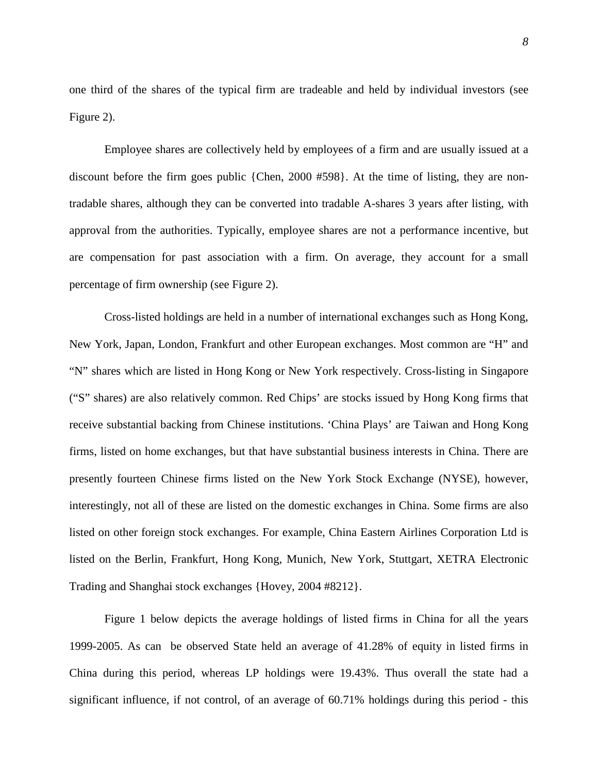one third of the shares of the typical firm are tradeable and held by individual investors (see Figure 2).

Employee shares are collectively held by employees of a firm and are usually issued at a discount before the firm goes public {Chen, 2000 #598}. At the time of listing, they are nontradable shares, although they can be converted into tradable A-shares 3 years after listing, with approval from the authorities. Typically, employee shares are not a performance incentive, but are compensation for past association with a firm. On average, they account for a small percentage of firm ownership (see Figure 2).

Cross-listed holdings are held in a number of international exchanges such as Hong Kong, New York, Japan, London, Frankfurt and other European exchanges. Most common are "H" and "N" shares which are listed in Hong Kong or New York respectively. Cross-listing in Singapore ("S" shares) are also relatively common. Red Chips' are stocks issued by Hong Kong firms that receive substantial backing from Chinese institutions. 'China Plays' are Taiwan and Hong Kong firms, listed on home exchanges, but that have substantial business interests in China. There are presently fourteen Chinese firms listed on the New York Stock Exchange (NYSE), however, interestingly, not all of these are listed on the domestic exchanges in China. Some firms are also listed on other foreign stock exchanges. For example, China Eastern Airlines Corporation Ltd is listed on the Berlin, Frankfurt, Hong Kong, Munich, New York, Stuttgart, XETRA Electronic Trading and Shanghai stock exchanges {Hovey, 2004 #8212}.

Figure 1 below depicts the average holdings of listed firms in China for all the years 1999-2005. As can be observed State held an average of 41.28% of equity in listed firms in China during this period, whereas LP holdings were 19.43%. Thus overall the state had a significant influence, if not control, of an average of 60.71% holdings during this period - this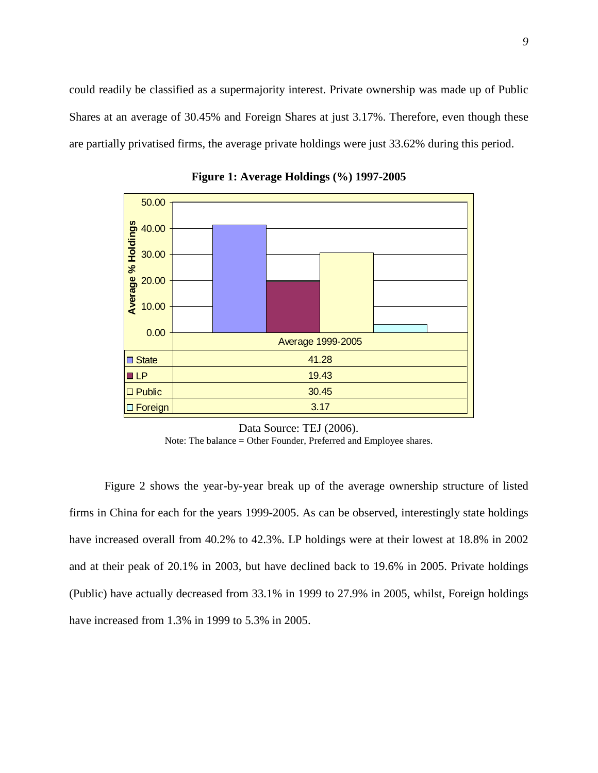could readily be classified as a supermajority interest. Private ownership was made up of Public Shares at an average of 30.45% and Foreign Shares at just 3.17%. Therefore, even though these are partially privatised firms, the average private holdings were just 33.62% during this period.



**Figure 1: Average Holdings (%) 1997-2005** 

Note: The balance = Other Founder, Preferred and Employee shares.

Figure 2 shows the year-by-year break up of the average ownership structure of listed firms in China for each for the years 1999-2005. As can be observed, interestingly state holdings have increased overall from 40.2% to 42.3%. LP holdings were at their lowest at 18.8% in 2002 and at their peak of 20.1% in 2003, but have declined back to 19.6% in 2005. Private holdings (Public) have actually decreased from 33.1% in 1999 to 27.9% in 2005, whilst, Foreign holdings have increased from 1.3% in 1999 to 5.3% in 2005.

Data Source: TEJ (2006).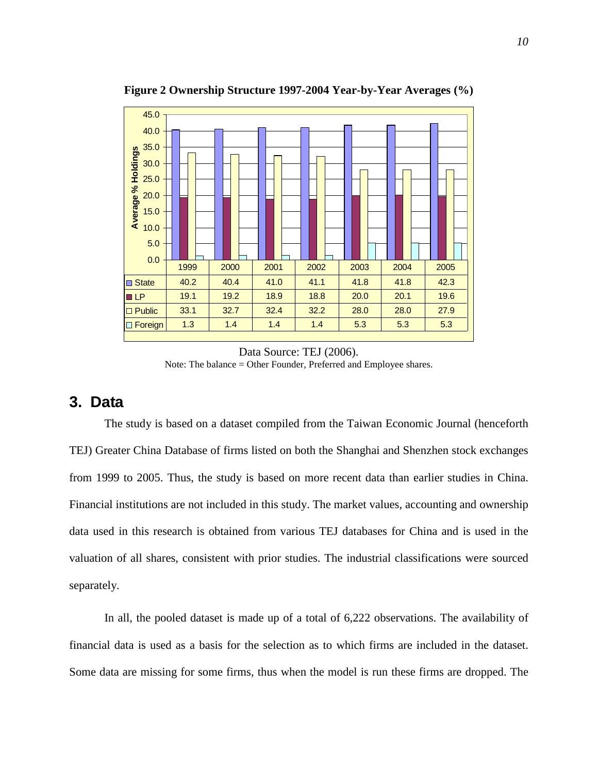

**Figure 2 Ownership Structure 1997-2004 Year-by-Year Averages (%)** 

Data Source: TEJ (2006). Note: The balance = Other Founder, Preferred and Employee shares.

### **3. Data**

The study is based on a dataset compiled from the Taiwan Economic Journal (henceforth TEJ) Greater China Database of firms listed on both the Shanghai and Shenzhen stock exchanges from 1999 to 2005. Thus, the study is based on more recent data than earlier studies in China. Financial institutions are not included in this study. The market values, accounting and ownership data used in this research is obtained from various TEJ databases for China and is used in the valuation of all shares, consistent with prior studies. The industrial classifications were sourced separately.

In all, the pooled dataset is made up of a total of 6,222 observations. The availability of financial data is used as a basis for the selection as to which firms are included in the dataset. Some data are missing for some firms, thus when the model is run these firms are dropped. The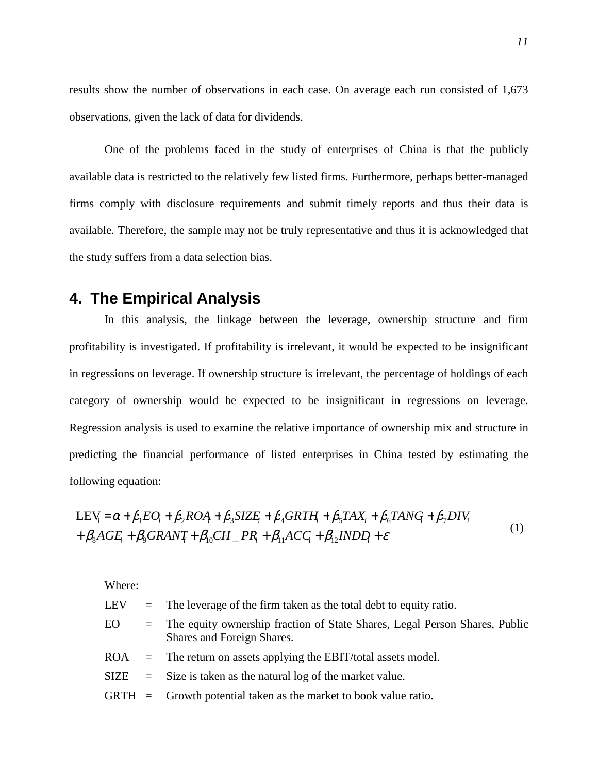results show the number of observations in each case. On average each run consisted of 1,673 observations, given the lack of data for dividends.

One of the problems faced in the study of enterprises of China is that the publicly available data is restricted to the relatively few listed firms. Furthermore, perhaps better-managed firms comply with disclosure requirements and submit timely reports and thus their data is available. Therefore, the sample may not be truly representative and thus it is acknowledged that the study suffers from a data selection bias.

# **4. The Empirical Analysis**

In this analysis, the linkage between the leverage, ownership structure and firm profitability is investigated. If profitability is irrelevant, it would be expected to be insignificant in regressions on leverage. If ownership structure is irrelevant, the percentage of holdings of each category of ownership would be expected to be insignificant in regressions on leverage. Regression analysis is used to examine the relative importance of ownership mix and structure in predicting the financial performance of listed enterprises in China tested by estimating the following equation:

$$
LEV_i = \alpha + \beta_1 EO_i + \beta_2 ROA + \beta_3 SIZE_i + \beta_4 GRTH_i + \beta_5 TAX_i + \beta_6 TANG + \beta_7 DIV_i
$$
  
+  $\beta_8 AGE_i + \beta_9 GRANT_i + \beta_{10} CH \_{PR_i} + \beta_{11} ACC_i + \beta_{12} INDD_i + \varepsilon$  (1)

Where: LEV  $=$  The leverage of the firm taken as the total debt to equity ratio. EO = The equity ownership fraction of State Shares, Legal Person Shares, Public Shares and Foreign Shares. ROA = The return on assets applying the EBIT/total assets model.  $SIZE = Size$  is taken as the natural log of the market value.  $GRTH =$  Growth potential taken as the market to book value ratio.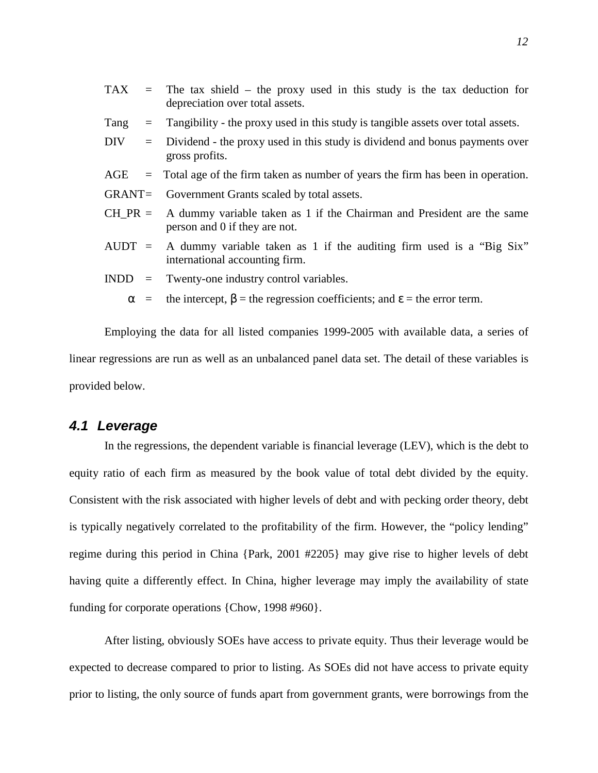|             | $TAX$ = The tax shield – the proxy used in this study is the tax deduction for<br>depreciation over total assets. |  |  |  |  |
|-------------|-------------------------------------------------------------------------------------------------------------------|--|--|--|--|
| Tang<br>$=$ | Tangibility - the proxy used in this study is tangible assets over total assets.                                  |  |  |  |  |
| DIV<br>$=$  | Dividend - the proxy used in this study is dividend and bonus payments over<br>gross profits.                     |  |  |  |  |
|             | $\angle$ AGE $\equiv$ Total age of the firm taken as number of years the firm has been in operation.              |  |  |  |  |
|             | GRANT= Government Grants scaled by total assets.                                                                  |  |  |  |  |
| $CH PR =$   | A dummy variable taken as 1 if the Chairman and President are the same<br>person and 0 if they are not.           |  |  |  |  |
|             | AUDT = A dummy variable taken as 1 if the auditing firm used is a "Big Six"<br>international accounting firm.     |  |  |  |  |
|             | $INDD =$ Twenty-one industry control variables.                                                                   |  |  |  |  |
|             | $\alpha$ = the intercept, $\beta$ = the regression coefficients; and $\epsilon$ = the error term.                 |  |  |  |  |

Employing the data for all listed companies 1999-2005 with available data, a series of linear regressions are run as well as an unbalanced panel data set. The detail of these variables is provided below.

### **4.1 Leverage**

In the regressions, the dependent variable is financial leverage (LEV), which is the debt to equity ratio of each firm as measured by the book value of total debt divided by the equity. Consistent with the risk associated with higher levels of debt and with pecking order theory, debt is typically negatively correlated to the profitability of the firm. However, the "policy lending" regime during this period in China {Park, 2001 #2205} may give rise to higher levels of debt having quite a differently effect. In China, higher leverage may imply the availability of state funding for corporate operations {Chow, 1998 #960}.

After listing, obviously SOEs have access to private equity. Thus their leverage would be expected to decrease compared to prior to listing. As SOEs did not have access to private equity prior to listing, the only source of funds apart from government grants, were borrowings from the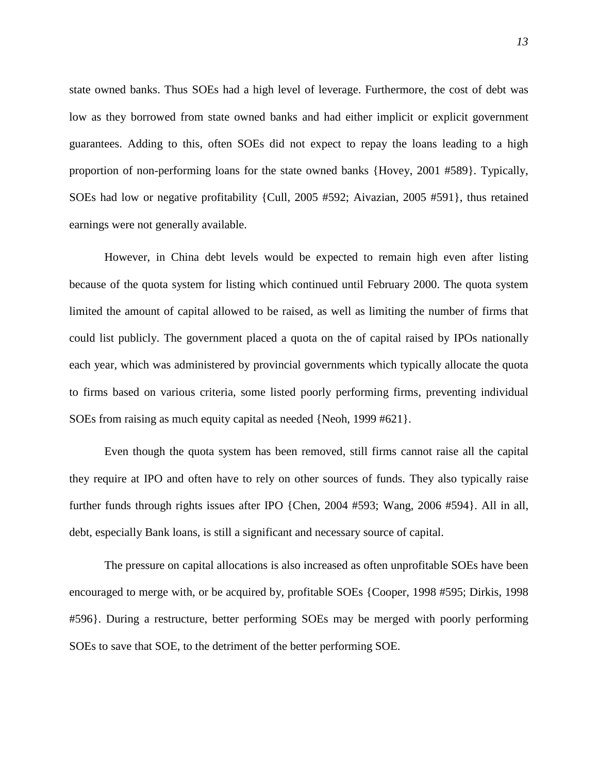state owned banks. Thus SOEs had a high level of leverage. Furthermore, the cost of debt was low as they borrowed from state owned banks and had either implicit or explicit government guarantees. Adding to this, often SOEs did not expect to repay the loans leading to a high proportion of non-performing loans for the state owned banks {Hovey, 2001 #589}. Typically, SOEs had low or negative profitability {Cull, 2005 #592; Aivazian, 2005 #591}, thus retained earnings were not generally available.

However, in China debt levels would be expected to remain high even after listing because of the quota system for listing which continued until February 2000. The quota system limited the amount of capital allowed to be raised, as well as limiting the number of firms that could list publicly. The government placed a quota on the of capital raised by IPOs nationally each year, which was administered by provincial governments which typically allocate the quota to firms based on various criteria, some listed poorly performing firms, preventing individual SOEs from raising as much equity capital as needed {Neoh, 1999 #621}.

Even though the quota system has been removed, still firms cannot raise all the capital they require at IPO and often have to rely on other sources of funds. They also typically raise further funds through rights issues after IPO {Chen, 2004 #593; Wang, 2006 #594}. All in all, debt, especially Bank loans, is still a significant and necessary source of capital.

The pressure on capital allocations is also increased as often unprofitable SOEs have been encouraged to merge with, or be acquired by, profitable SOEs {Cooper, 1998 #595; Dirkis, 1998 #596}. During a restructure, better performing SOEs may be merged with poorly performing SOEs to save that SOE, to the detriment of the better performing SOE.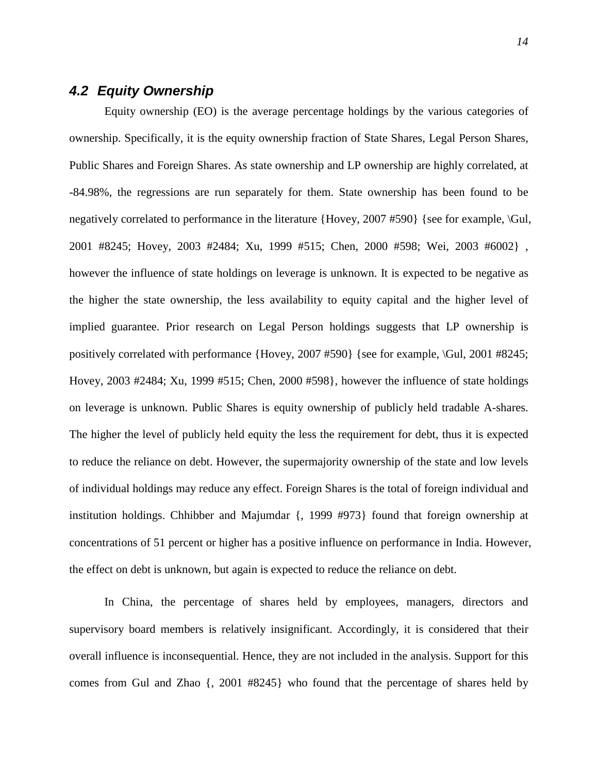# **4.2 Equity Ownership**

Equity ownership (EO) is the average percentage holdings by the various categories of ownership. Specifically, it is the equity ownership fraction of State Shares, Legal Person Shares, Public Shares and Foreign Shares. As state ownership and LP ownership are highly correlated, at -84.98%, the regressions are run separately for them. State ownership has been found to be negatively correlated to performance in the literature  ${Hovey, 2007 #590}$  {see for example,  $\overline{Gul}$ , 2001 #8245; Hovey, 2003 #2484; Xu, 1999 #515; Chen, 2000 #598; Wei, 2003 #6002} , however the influence of state holdings on leverage is unknown. It is expected to be negative as the higher the state ownership, the less availability to equity capital and the higher level of implied guarantee. Prior research on Legal Person holdings suggests that LP ownership is positively correlated with performance {Hovey, 2007 #590} {see for example, \Gul, 2001 #8245; Hovey, 2003 #2484; Xu, 1999 #515; Chen, 2000 #598}, however the influence of state holdings on leverage is unknown. Public Shares is equity ownership of publicly held tradable A-shares. The higher the level of publicly held equity the less the requirement for debt, thus it is expected to reduce the reliance on debt. However, the supermajority ownership of the state and low levels of individual holdings may reduce any effect. Foreign Shares is the total of foreign individual and institution holdings. Chhibber and Majumdar {, 1999 #973} found that foreign ownership at concentrations of 51 percent or higher has a positive influence on performance in India. However, the effect on debt is unknown, but again is expected to reduce the reliance on debt.

In China, the percentage of shares held by employees, managers, directors and supervisory board members is relatively insignificant. Accordingly, it is considered that their overall influence is inconsequential. Hence, they are not included in the analysis. Support for this comes from Gul and Zhao {, 2001 #8245} who found that the percentage of shares held by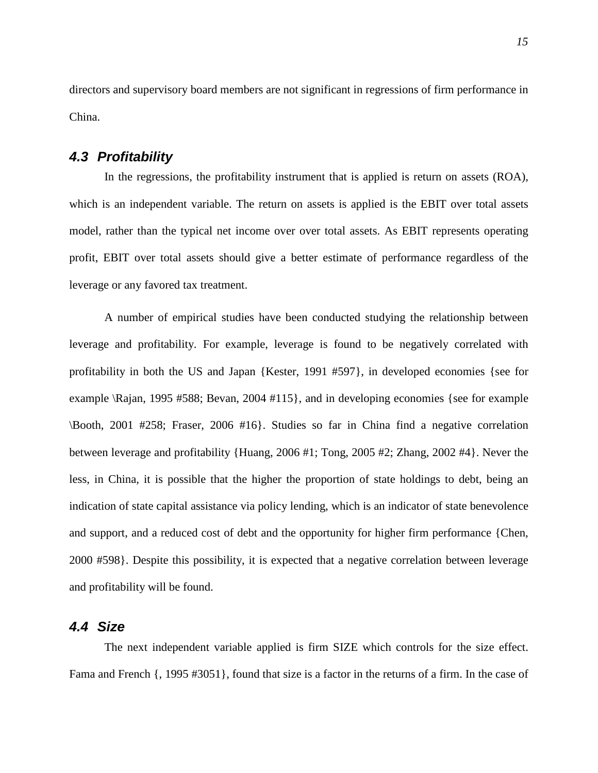directors and supervisory board members are not significant in regressions of firm performance in China.

### **4.3 Profitability**

In the regressions, the profitability instrument that is applied is return on assets (ROA)*,* which is an independent variable. The return on assets is applied is the EBIT over total assets model, rather than the typical net income over over total assets. As EBIT represents operating profit, EBIT over total assets should give a better estimate of performance regardless of the leverage or any favored tax treatment.

A number of empirical studies have been conducted studying the relationship between leverage and profitability. For example, leverage is found to be negatively correlated with profitability in both the US and Japan {Kester, 1991 #597}, in developed economies {see for example \Rajan, 1995 #588; Bevan, 2004 #115}, and in developing economies {see for example \Booth, 2001 #258; Fraser, 2006 #16}. Studies so far in China find a negative correlation between leverage and profitability {Huang, 2006 #1; Tong, 2005 #2; Zhang, 2002 #4}. Never the less, in China, it is possible that the higher the proportion of state holdings to debt, being an indication of state capital assistance via policy lending, which is an indicator of state benevolence and support, and a reduced cost of debt and the opportunity for higher firm performance {Chen, 2000 #598}. Despite this possibility, it is expected that a negative correlation between leverage and profitability will be found.

## **4.4 Size**

The next independent variable applied is firm SIZE which controls for the size effect. Fama and French {, 1995 #3051}, found that size is a factor in the returns of a firm. In the case of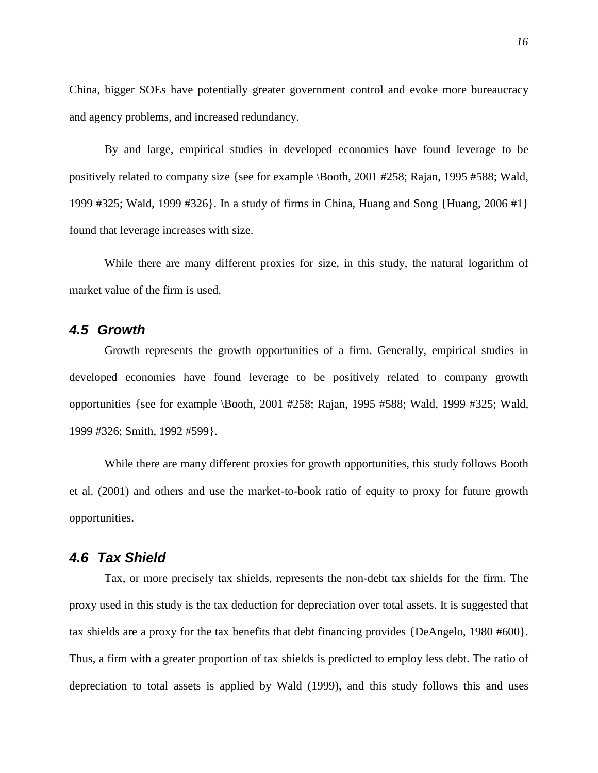China, bigger SOEs have potentially greater government control and evoke more bureaucracy and agency problems, and increased redundancy.

By and large, empirical studies in developed economies have found leverage to be positively related to company size {see for example \Booth, 2001 #258; Rajan, 1995 #588; Wald, 1999 #325; Wald, 1999 #326}. In a study of firms in China, Huang and Song {Huang, 2006 #1} found that leverage increases with size.

While there are many different proxies for size, in this study, the natural logarithm of market value of the firm is used.

#### **4.5 Growth**

Growth represents the growth opportunities of a firm. Generally, empirical studies in developed economies have found leverage to be positively related to company growth opportunities {see for example \Booth, 2001 #258; Rajan, 1995 #588; Wald, 1999 #325; Wald, 1999 #326; Smith, 1992 #599}.

While there are many different proxies for growth opportunities, this study follows Booth et al. (2001) and others and use the market-to-book ratio of equity to proxy for future growth opportunities.

#### **4.6 Tax Shield**

Tax, or more precisely tax shields, represents the non-debt tax shields for the firm. The proxy used in this study is the tax deduction for depreciation over total assets. It is suggested that tax shields are a proxy for the tax benefits that debt financing provides {DeAngelo, 1980 #600}. Thus, a firm with a greater proportion of tax shields is predicted to employ less debt. The ratio of depreciation to total assets is applied by Wald (1999), and this study follows this and uses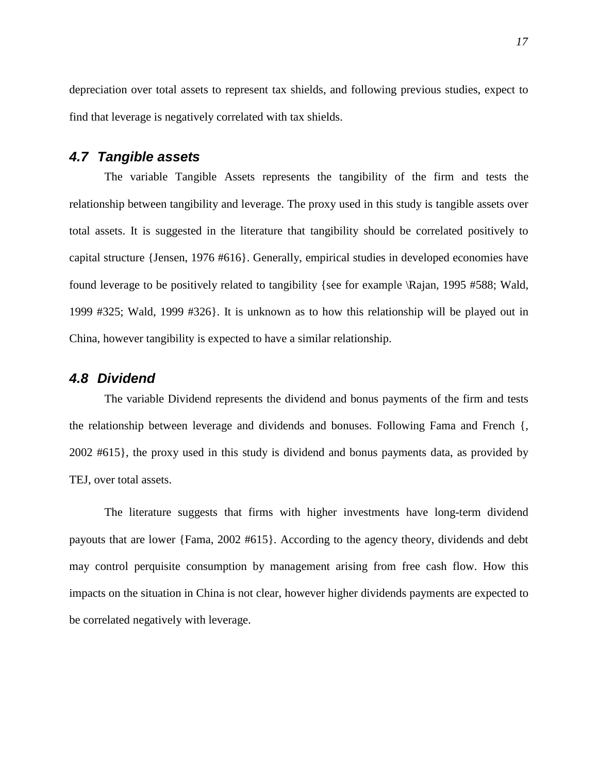depreciation over total assets to represent tax shields, and following previous studies, expect to find that leverage is negatively correlated with tax shields.

### **4.7 Tangible assets**

The variable Tangible Assets represents the tangibility of the firm and tests the relationship between tangibility and leverage. The proxy used in this study is tangible assets over total assets. It is suggested in the literature that tangibility should be correlated positively to capital structure {Jensen, 1976 #616}. Generally, empirical studies in developed economies have found leverage to be positively related to tangibility {see for example \Rajan, 1995 #588; Wald, 1999 #325; Wald, 1999 #326}. It is unknown as to how this relationship will be played out in China, however tangibility is expected to have a similar relationship.

#### **4.8 Dividend**

The variable Dividend represents the dividend and bonus payments of the firm and tests the relationship between leverage and dividends and bonuses. Following Fama and French {, 2002 #615}, the proxy used in this study is dividend and bonus payments data, as provided by TEJ, over total assets.

The literature suggests that firms with higher investments have long-term dividend payouts that are lower {Fama, 2002 #615}. According to the agency theory, dividends and debt may control perquisite consumption by management arising from free cash flow. How this impacts on the situation in China is not clear, however higher dividends payments are expected to be correlated negatively with leverage.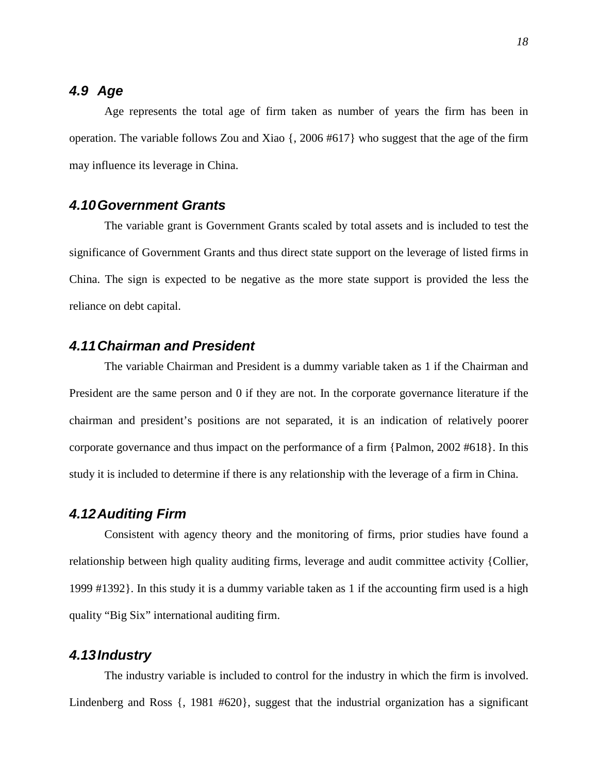### **4.9 Age**

Age represents the total age of firm taken as number of years the firm has been in operation. The variable follows Zou and Xiao {, 2006 #617} who suggest that the age of the firm may influence its leverage in China.

### **4.10 Government Grants**

The variable grant is Government Grants scaled by total assets and is included to test the significance of Government Grants and thus direct state support on the leverage of listed firms in China. The sign is expected to be negative as the more state support is provided the less the reliance on debt capital.

### **4.11 Chairman and President**

The variable Chairman and President is a dummy variable taken as 1 if the Chairman and President are the same person and 0 if they are not. In the corporate governance literature if the chairman and president's positions are not separated, it is an indication of relatively poorer corporate governance and thus impact on the performance of a firm {Palmon, 2002 #618}. In this study it is included to determine if there is any relationship with the leverage of a firm in China.

#### **4.12 Auditing Firm**

Consistent with agency theory and the monitoring of firms, prior studies have found a relationship between high quality auditing firms, leverage and audit committee activity {Collier, 1999 #1392}. In this study it is a dummy variable taken as 1 if the accounting firm used is a high quality "Big Six" international auditing firm.

#### **4.13 Industry**

The industry variable is included to control for the industry in which the firm is involved. Lindenberg and Ross {, 1981 #620}, suggest that the industrial organization has a significant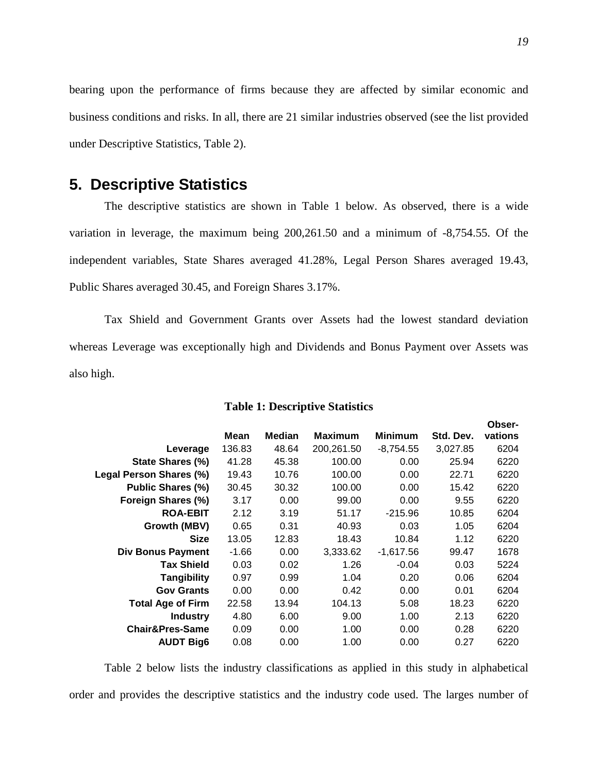bearing upon the performance of firms because they are affected by similar economic and business conditions and risks. In all, there are 21 similar industries observed (see the list provided under Descriptive Statistics, Table 2).

# **5. Descriptive Statistics**

The descriptive statistics are shown in Table 1 below. As observed, there is a wide variation in leverage, the maximum being 200,261.50 and a minimum of -8,754.55. Of the independent variables, State Shares averaged 41.28%, Legal Person Shares averaged 19.43, Public Shares averaged 30.45, and Foreign Shares 3.17%.

Tax Shield and Government Grants over Assets had the lowest standard deviation whereas Leverage was exceptionally high and Dividends and Bonus Payment over Assets was also high.

|                            |         |               |                |                |           | Obser-  |
|----------------------------|---------|---------------|----------------|----------------|-----------|---------|
|                            | Mean    | <b>Median</b> | <b>Maximum</b> | <b>Minimum</b> | Std. Dev. | vations |
| Leverage                   | 136.83  | 48.64         | 200,261.50     | $-8,754.55$    | 3,027.85  | 6204    |
| State Shares (%)           | 41.28   | 45.38         | 100.00         | 0.00           | 25.94     | 6220    |
| Legal Person Shares (%)    | 19.43   | 10.76         | 100.00         | 0.00           | 22.71     | 6220    |
| Public Shares (%)          | 30.45   | 30.32         | 100.00         | 0.00           | 15.42     | 6220    |
| Foreign Shares (%)         | 3.17    | 0.00          | 99.00          | 0.00           | 9.55      | 6220    |
| <b>ROA-EBIT</b>            | 2.12    | 3.19          | 51.17          | $-215.96$      | 10.85     | 6204    |
| Growth (MBV)               | 0.65    | 0.31          | 40.93          | 0.03           | 1.05      | 6204    |
| <b>Size</b>                | 13.05   | 12.83         | 18.43          | 10.84          | 1.12      | 6220    |
| <b>Div Bonus Payment</b>   | $-1.66$ | 0.00          | 3,333.62       | $-1,617.56$    | 99.47     | 1678    |
| <b>Tax Shield</b>          | 0.03    | 0.02          | 1.26           | $-0.04$        | 0.03      | 5224    |
| <b>Tangibility</b>         | 0.97    | 0.99          | 1.04           | 0.20           | 0.06      | 6204    |
| <b>Gov Grants</b>          | 0.00    | 0.00          | 0.42           | 0.00           | 0.01      | 6204    |
| <b>Total Age of Firm</b>   | 22.58   | 13.94         | 104.13         | 5.08           | 18.23     | 6220    |
| <b>Industry</b>            | 4.80    | 6.00          | 9.00           | 1.00           | 2.13      | 6220    |
| <b>Chair&amp;Pres-Same</b> | 0.09    | 0.00          | 1.00           | 0.00           | 0.28      | 6220    |
| <b>AUDT Big6</b>           | 0.08    | 0.00          | 1.00           | 0.00           | 0.27      | 6220    |
|                            |         |               |                |                |           |         |

#### **Table 1: Descriptive Statistics**

Table 2 below lists the industry classifications as applied in this study in alphabetical order and provides the descriptive statistics and the industry code used. The larges number of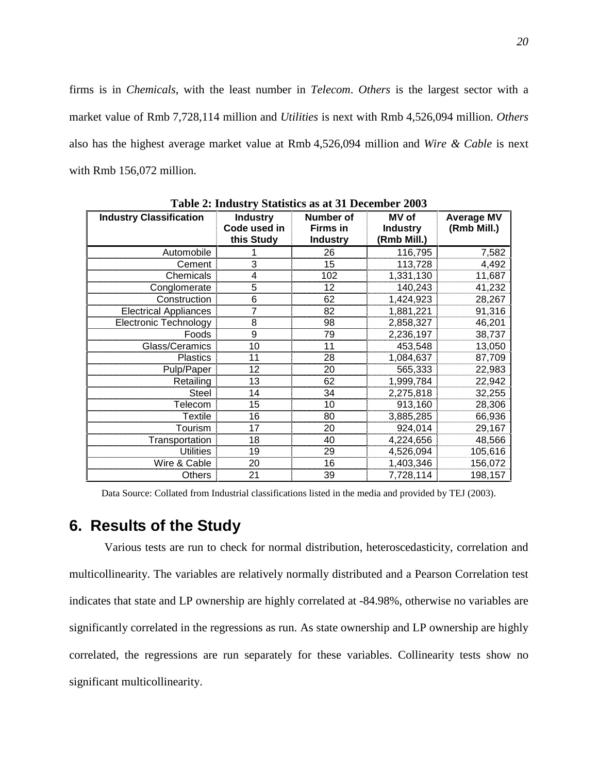firms is in *Chemicals*, with the least number in *Telecom*. *Others* is the largest sector with a market value of Rmb 7,728,114 million and *Utilities* is next with Rmb 4,526,094 million. *Others* also has the highest average market value at Rmb 4,526,094 million and *Wire & Cable* is next with Rmb 156,072 million.

| <b>Industry Classification</b> | <b>Industry</b><br>Code used in | Number of<br><b>Firms in</b> | MV of<br><b>Industry</b> | <b>Average MV</b><br>(Rmb Mill.) |
|--------------------------------|---------------------------------|------------------------------|--------------------------|----------------------------------|
|                                | this Study                      | <b>Industry</b>              | (Rmb Mill.)              |                                  |
| Automobile                     |                                 | 26                           | 116,795                  | 7,582                            |
| Cement                         | 3                               | 15                           | 113,728                  | 4,492                            |
| Chemicals                      | 4                               | 102                          | 1,331,130                | 11,687                           |
| Conglomerate                   | 5                               | 12                           | 140,243                  | 41,232                           |
| Construction                   | 6                               | 62                           | 1,424,923                | 28,267                           |
| <b>Electrical Appliances</b>   |                                 | 82                           | 1,881,221                | 91,316                           |
| <b>Electronic Technology</b>   | 8                               | 98                           | 2,858,327                | 46,201                           |
| Foods                          | 9                               | 79                           | 2,236,197                | 38,737                           |
| Glass/Ceramics                 | 10                              | 11                           | 453,548                  | 13,050                           |
| <b>Plastics</b>                | 11                              | 28                           | 1,084,637                | 87,709                           |
| Pulp/Paper                     | 12                              | 20                           | 565,333                  | 22,983                           |
| Retailing                      | 13                              | 62                           | 1,999,784                | 22,942                           |
| <b>Steel</b>                   | 14                              | 34                           | 2,275,818                | 32,255                           |
| Telecom                        | 15                              | 10                           | 913,160                  | 28,306                           |
| <b>Textile</b>                 | 16                              | 80                           | 3,885,285                | 66,936                           |
| Tourism                        | 17                              | 20                           | 924,014                  | 29,167                           |
| Transportation                 | 18                              | 40                           | 4,224,656                | 48,566                           |
| <b>Utilities</b>               | 19                              | 29                           | 4,526,094                | 105,616                          |
| Wire & Cable                   | 20                              | 16                           | 1,403,346                | 156,072                          |
| Others                         | 21                              | 39                           | 7,728,114                | 198,157                          |

**Table 2: Industry Statistics as at 31 December 2003** 

Data Source: Collated from Industrial classifications listed in the media and provided by TEJ (2003).

# **6. Results of the Study**

Various tests are run to check for normal distribution, heteroscedasticity, correlation and multicollinearity. The variables are relatively normally distributed and a Pearson Correlation test indicates that state and LP ownership are highly correlated at -84.98%, otherwise no variables are significantly correlated in the regressions as run. As state ownership and LP ownership are highly correlated, the regressions are run separately for these variables. Collinearity tests show no significant multicollinearity.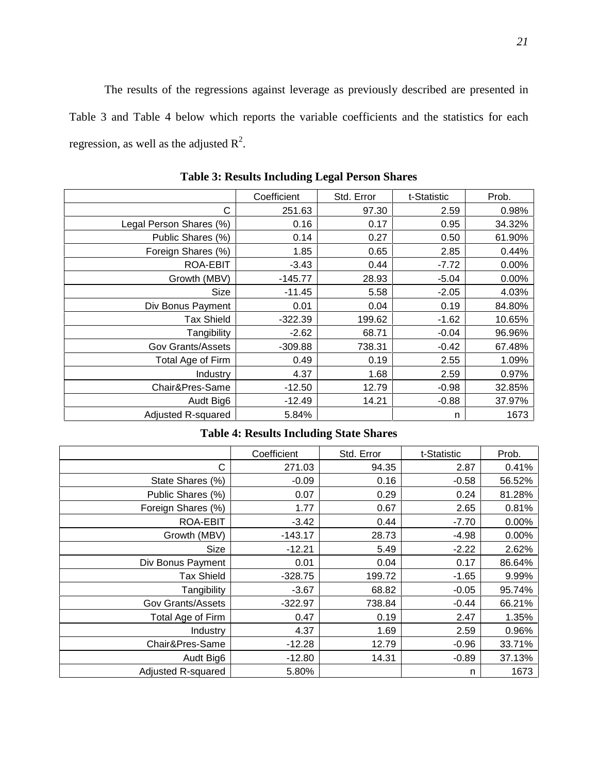The results of the regressions against leverage as previously described are presented in Table 3 and Table 4 below which reports the variable coefficients and the statistics for each regression, as well as the adjusted  $R^2$ .

|                         | Coefficient | Std. Error | t-Statistic | Prob.  |
|-------------------------|-------------|------------|-------------|--------|
| С                       | 251.63      | 97.30      | 2.59        | 0.98%  |
| Legal Person Shares (%) | 0.16        | 0.17       | 0.95        | 34.32% |
| Public Shares (%)       | 0.14        | 0.27       | 0.50        | 61.90% |
| Foreign Shares (%)      | 1.85        | 0.65       | 2.85        | 0.44%  |
| ROA-EBIT                | $-3.43$     | 0.44       | $-7.72$     | 0.00%  |
| Growth (MBV)            | $-145.77$   | 28.93      | $-5.04$     | 0.00%  |
| Size                    | $-11.45$    | 5.58       | $-2.05$     | 4.03%  |
| Div Bonus Payment       | 0.01        | 0.04       | 0.19        | 84.80% |
| <b>Tax Shield</b>       | $-322.39$   | 199.62     | $-1.62$     | 10.65% |
| Tangibility             | $-2.62$     | 68.71      | $-0.04$     | 96.96% |
| Gov Grants/Assets       | $-309.88$   | 738.31     | $-0.42$     | 67.48% |
| Total Age of Firm       | 0.49        | 0.19       | 2.55        | 1.09%  |
| Industry                | 4.37        | 1.68       | 2.59        | 0.97%  |
| Chair&Pres-Same         | $-12.50$    | 12.79      | $-0.98$     | 32.85% |
| Audt Big6               | $-12.49$    | 14.21      | $-0.88$     | 37.97% |
| Adjusted R-squared      | 5.84%       |            | n           | 1673   |

**Table 3: Results Including Legal Person Shares** 

### **Table 4: Results Including State Shares**

|                          | Coefficient | Std. Error | t-Statistic | Prob.  |
|--------------------------|-------------|------------|-------------|--------|
| С                        | 271.03      | 94.35      | 2.87        | 0.41%  |
| State Shares (%)         | $-0.09$     | 0.16       | $-0.58$     | 56.52% |
| Public Shares (%)        | 0.07        | 0.29       | 0.24        | 81.28% |
| Foreign Shares (%)       | 1.77        | 0.67       | 2.65        | 0.81%  |
| ROA-EBIT                 | $-3.42$     | 0.44       | $-7.70$     | 0.00%  |
| Growth (MBV)             | $-143.17$   | 28.73      | $-4.98$     | 0.00%  |
| Size                     | $-12.21$    | 5.49       | $-2.22$     | 2.62%  |
| Div Bonus Payment        | 0.01        | 0.04       | 0.17        | 86.64% |
| <b>Tax Shield</b>        | $-328.75$   | 199.72     | $-1.65$     | 9.99%  |
| Tangibility              | $-3.67$     | 68.82      | $-0.05$     | 95.74% |
| <b>Gov Grants/Assets</b> | -322.97     | 738.84     | $-0.44$     | 66.21% |
| Total Age of Firm        | 0.47        | 0.19       | 2.47        | 1.35%  |
| <b>Industry</b>          | 4.37        | 1.69       | 2.59        | 0.96%  |
| Chair&Pres-Same          | $-12.28$    | 12.79      | $-0.96$     | 33.71% |
| Audt Big6                | $-12.80$    | 14.31      | $-0.89$     | 37.13% |
| Adjusted R-squared       | 5.80%       |            | n           | 1673   |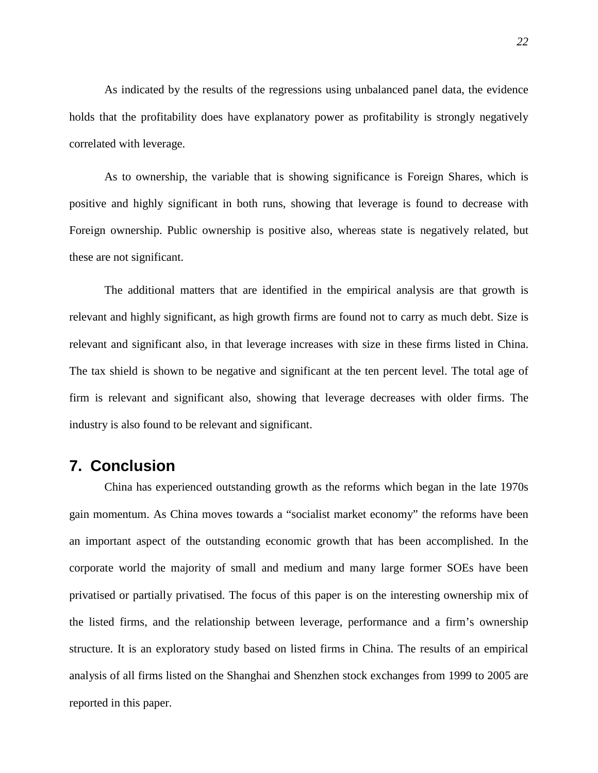As indicated by the results of the regressions using unbalanced panel data, the evidence holds that the profitability does have explanatory power as profitability is strongly negatively correlated with leverage.

As to ownership, the variable that is showing significance is Foreign Shares, which is positive and highly significant in both runs, showing that leverage is found to decrease with Foreign ownership. Public ownership is positive also, whereas state is negatively related, but these are not significant.

The additional matters that are identified in the empirical analysis are that growth is relevant and highly significant, as high growth firms are found not to carry as much debt. Size is relevant and significant also, in that leverage increases with size in these firms listed in China. The tax shield is shown to be negative and significant at the ten percent level. The total age of firm is relevant and significant also, showing that leverage decreases with older firms. The industry is also found to be relevant and significant.

## **7. Conclusion**

China has experienced outstanding growth as the reforms which began in the late 1970s gain momentum. As China moves towards a "socialist market economy" the reforms have been an important aspect of the outstanding economic growth that has been accomplished. In the corporate world the majority of small and medium and many large former SOEs have been privatised or partially privatised. The focus of this paper is on the interesting ownership mix of the listed firms, and the relationship between leverage, performance and a firm's ownership structure. It is an exploratory study based on listed firms in China. The results of an empirical analysis of all firms listed on the Shanghai and Shenzhen stock exchanges from 1999 to 2005 are reported in this paper.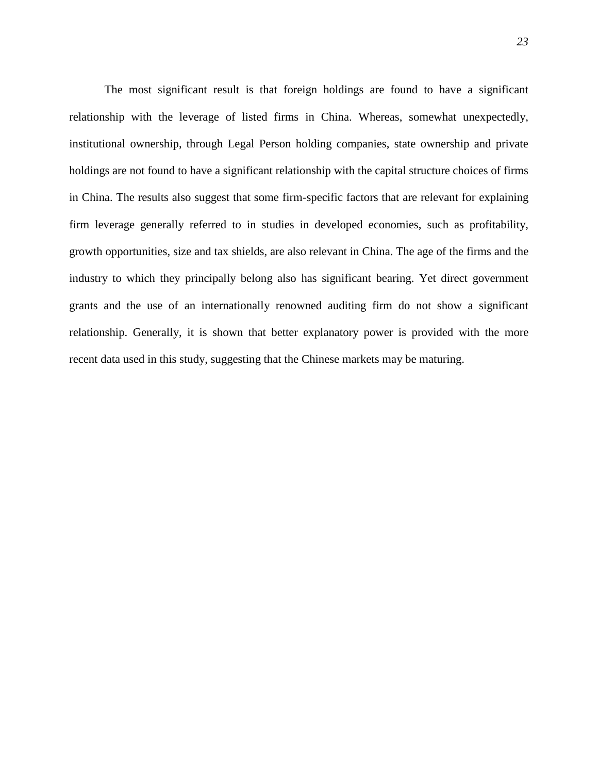The most significant result is that foreign holdings are found to have a significant relationship with the leverage of listed firms in China. Whereas, somewhat unexpectedly, institutional ownership, through Legal Person holding companies, state ownership and private holdings are not found to have a significant relationship with the capital structure choices of firms in China. The results also suggest that some firm-specific factors that are relevant for explaining firm leverage generally referred to in studies in developed economies, such as profitability, growth opportunities, size and tax shields, are also relevant in China. The age of the firms and the industry to which they principally belong also has significant bearing. Yet direct government grants and the use of an internationally renowned auditing firm do not show a significant relationship. Generally, it is shown that better explanatory power is provided with the more recent data used in this study, suggesting that the Chinese markets may be maturing.